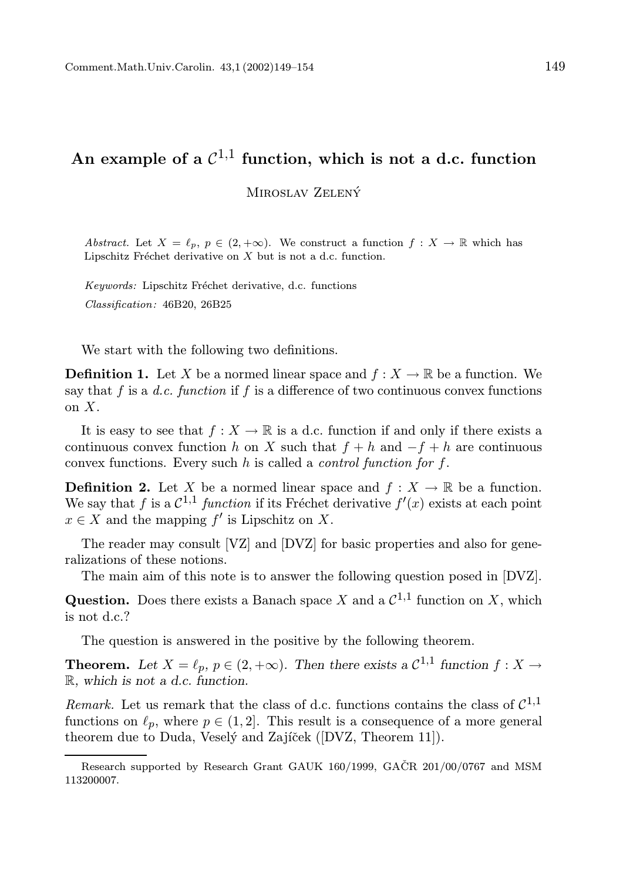## An example of a  $\mathcal{C}^{1,1}$  function, which is not a d.c. function

MIROSLAV ZELENÝ

Abstract. Let  $X = \ell_p, p \in (2, +\infty)$ . We construct a function  $f : X \to \mathbb{R}$  which has Lipschitz Fréchet derivative on  $X$  but is not a d.c. function.

Keywords: Lipschitz Fréchet derivative, d.c. functions Classification: 46B20, 26B25

We start with the following two definitions.

**Definition 1.** Let X be a normed linear space and  $f: X \to \mathbb{R}$  be a function. We say that f is a d.c. function if f is a difference of two continuous convex functions on X.

It is easy to see that  $f : X \to \mathbb{R}$  is a d.c. function if and only if there exists a continuous convex function h on X such that  $f + h$  and  $-f + h$  are continuous convex functions. Every such h is called a control function for f.

**Definition 2.** Let X be a normed linear space and  $f: X \to \mathbb{R}$  be a function. We say that f is a  $\mathcal{C}^{1,1}$  function if its Fréchet derivative  $f'(x)$  exists at each point  $x \in X$  and the mapping  $f'$  is Lipschitz on X.

The reader may consult [VZ] and [DVZ] for basic properties and also for generalizations of these notions.

The main aim of this note is to answer the following question posed in [DVZ].

**Question.** Does there exists a Banach space X and a  $\mathcal{C}^{1,1}$  function on X, which is not d.c.?

The question is answered in the positive by the following theorem.

**Theorem.** Let  $X = \ell_p$ ,  $p \in (2, +\infty)$ . Then there exists a  $\mathcal{C}^{1,1}$  function  $f : X \to \mathbb{R}$ R, which is not a d.c. function.

Remark. Let us remark that the class of d.c. functions contains the class of  $C^{1,1}$ functions on  $\ell_p$ , where  $p \in (1, 2]$ . This result is a consequence of a more general theorem due to Duda, Veselý and Zajíček ([DVZ, Theorem 11]).

Research supported by Research Grant GAUK 160/1999, GAČR 201/00/0767 and MSM 113200007.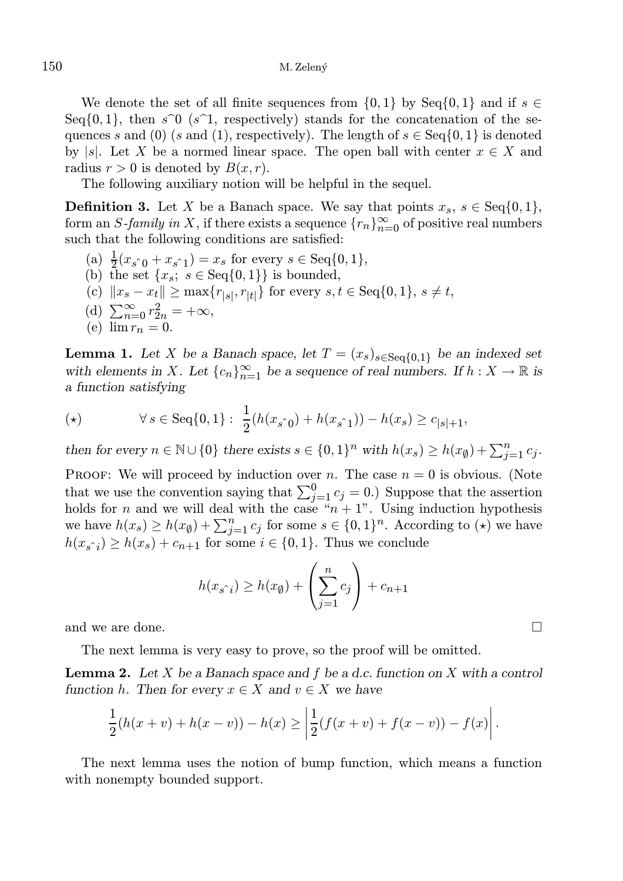We denote the set of all finite sequences from  $\{0, 1\}$  by Seq $\{0, 1\}$  and if  $s \in$ Seq $\{0, 1\}$ , then  $s\hat{O}$  (s<sup> $\hat{O}$ </sup>), respectively) stands for the concatenation of the sequences s and (0) (s and (1), respectively). The length of  $s \in \text{Seq}\{0, 1\}$  is denoted by |s|. Let X be a normed linear space. The open ball with center  $x \in X$  and radius  $r > 0$  is denoted by  $B(x, r)$ .

The following auxiliary notion will be helpful in the sequel.

**Definition 3.** Let X be a Banach space. We say that points  $x_s$ ,  $s \in \text{Seq}\{0, 1\}$ , form an S-family in X, if there exists a sequence  $\{r_n\}_{n=0}^{\infty}$  of positive real numbers such that the following conditions are satisfied:

- (a)  $\frac{1}{2}(x_s \hat{i}_0 + x_s \hat{i}_1) = x_s$  for every  $s \in \text{Seq}\{0, 1\},$
- (b) the set  $\{x_s, s \in \text{Seq}\{0,1\}\}\$ is bounded,
- (c)  $||x_s x_t|| \ge \max\{r_{|s|}, r_{|t|}\}\$ for every  $s, t \in \text{Seq}\{0, 1\}, s \ne t$ ,
- (d)  $\sum_{n=0}^{\infty} r_{2n}^2 = +\infty$ ,
- (e)  $\lim r_n = 0$ .

**Lemma 1.** Let X be a Banach space, let  $T = (x_s)_{s \in \text{Seq}(0,1)}$  be an indexed set with elements in X. Let  ${c_n}_{n=1}^{\infty}$  be a sequence of real numbers. If  $h: X \to \mathbb{R}$  is a function satisfying

(\*) 
$$
\forall s \in \text{Seq}\{0,1\}: \ \frac{1}{2}(h(x_{s\hat{0}}) + h(x_{s\hat{1}})) - h(x_s) \geq c_{|s|+1},
$$

then for every  $n \in \mathbb{N} \cup \{0\}$  there exists  $s \in \{0,1\}^n$  with  $h(x_s) \ge h(x_\emptyset) + \sum_{j=1}^n c_j$ .

PROOF: We will proceed by induction over n. The case  $n = 0$  is obvious. (Note that we use the convention saying that  $\sum_{j=1}^{0} c_j = 0$ .) Suppose that the assertion holds for n and we will deal with the case " $n + 1$ ". Using induction hypothesis we have  $h(x_s) \ge h(x_\emptyset) + \sum_{j=1}^n c_j$  for some  $s \in \{0,1\}^n$ . According to  $(\star)$  we have  $h(x_{s\hat{i}}) \geq h(x_s) + c_{n+1}$  for some  $i \in \{0, 1\}$ . Thus we conclude

$$
h(x_{s\hat{i}}) \ge h(x_{\emptyset}) + \left(\sum_{j=1}^{n} c_j\right) + c_{n+1}
$$

and we are done.  $\Box$ 

The next lemma is very easy to prove, so the proof will be omitted.

**Lemma 2.** Let X be a Banach space and f be a d.c. function on X with a control function h. Then for every  $x \in X$  and  $v \in X$  we have

$$
\frac{1}{2}(h(x+v)+h(x-v))-h(x) \ge \left|\frac{1}{2}(f(x+v)+f(x-v))-f(x)\right|.
$$

The next lemma uses the notion of bump function, which means a function with nonempty bounded support.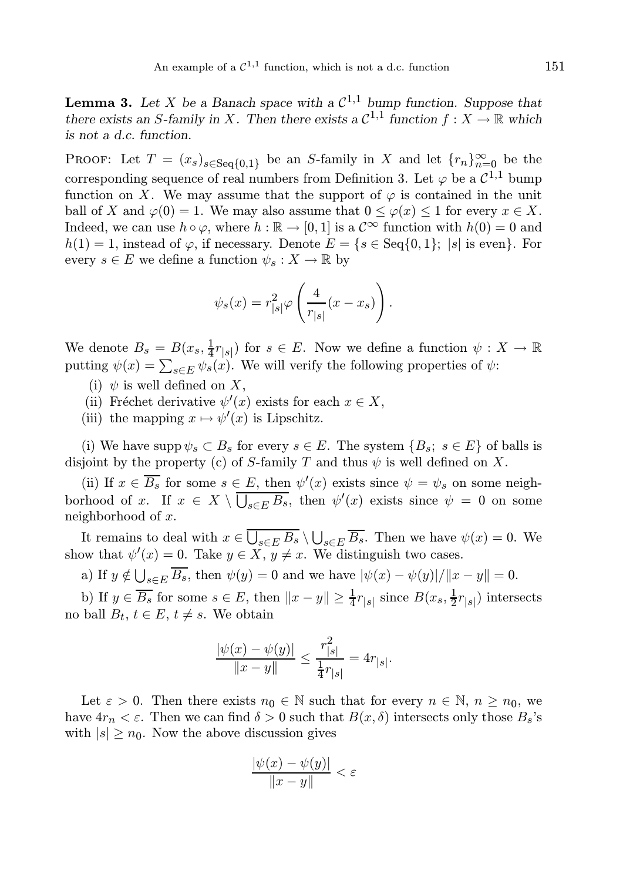**Lemma 3.** Let X be a Banach space with a  $\mathcal{C}^{1,1}$  bump function. Suppose that there exists an S-family in X. Then there exists a  $C^{1,1}$  function  $f : X \to \mathbb{R}$  which is not a d.c. function.

PROOF: Let  $T = (x_s)_{s \in \text{Seq{0,1}}}$  be an S-family in X and let  $\{r_n\}_{n=0}^{\infty}$  be the corresponding sequence of real numbers from Definition 3. Let  $\varphi$  be a  $\mathcal{C}^{1,1}$  bump function on X. We may assume that the support of  $\varphi$  is contained in the unit ball of X and  $\varphi(0) = 1$ . We may also assume that  $0 \leq \varphi(x) \leq 1$  for every  $x \in X$ . Indeed, we can use  $h \circ \varphi$ , where  $h : \mathbb{R} \to [0, 1]$  is a  $\mathcal{C}^{\infty}$  function with  $h(0) = 0$  and  $h(1) = 1$ , instead of  $\varphi$ , if necessary. Denote  $E = \{s \in \text{Seq}\{0,1\}; |s| \text{ is even}\}.$  For every  $s \in E$  we define a function  $\psi_s : X \to \mathbb{R}$  by

$$
\psi_s(x) = r_{|s|}^2 \varphi \left( \frac{4}{r_{|s|}} (x - x_s) \right).
$$

We denote  $B_s = B(x_s, \frac{1}{4}r_{|s|})$  for  $s \in E$ . Now we define a function  $\psi : X \to \mathbb{R}$ putting  $\psi(x) = \sum_{s \in E} \psi_s(x)$ . We will verify the following properties of  $\psi$ :

- (i)  $\psi$  is well defined on X,
- (ii) Fréchet derivative  $\psi'(x)$  exists for each  $x \in X$ ,
- (iii) the mapping  $x \mapsto \psi'(x)$  is Lipschitz.

(i) We have supp  $\psi_s \subset B_s$  for every  $s \in E$ . The system  $\{B_s; s \in E\}$  of balls is disjoint by the property (c) of S-family T and thus  $\psi$  is well defined on X.

(ii) If  $x \in \overline{B_s}$  for some  $s \in E$ , then  $\psi'(x)$  exists since  $\psi = \psi_s$  on some neighborhood of x. If  $x \in X \setminus \overline{\bigcup_{s \in E} B_s}$ , then  $\psi'(x)$  exists since  $\psi = 0$  on some neighborhood of x.

It remains to deal with  $x \in \overline{\bigcup_{s \in E} B_s} \setminus \bigcup_{s \in E} \overline{B_s}$ . Then we have  $\psi(x) = 0$ . We show that  $\psi'(x) = 0$ . Take  $y \in \overline{X}$ ,  $y \neq x$ . We distinguish two cases.

a) If  $y \notin \bigcup_{s \in E} \overline{B_s}$ , then  $\psi(y) = 0$  and we have  $|\psi(x) - \psi(y)| / ||x - y|| = 0$ .

b) If  $y \in \overline{B_s}$  for some  $s \in E$ , then  $||x - y|| \ge \frac{1}{4}r_{|s|}$  since  $B(x_s, \frac{1}{2}r_{|s|})$  intersects no ball  $B_t$ ,  $t \in E$ ,  $t \neq s$ . We obtain

$$
\frac{|\psi(x) - \psi(y)|}{\|x - y\|} \le \frac{r_{|s|}^2}{\frac{1}{4}r_{|s|}} = 4r_{|s|}.
$$

Let  $\varepsilon > 0$ . Then there exists  $n_0 \in \mathbb{N}$  such that for every  $n \in \mathbb{N}$ ,  $n \geq n_0$ , we have  $4r_n < \varepsilon$ . Then we can find  $\delta > 0$  such that  $B(x, \delta)$  intersects only those  $B_s$ 's with  $|s| \geq n_0$ . Now the above discussion gives

$$
\frac{|\psi(x) - \psi(y)|}{\|x - y\|} < \varepsilon
$$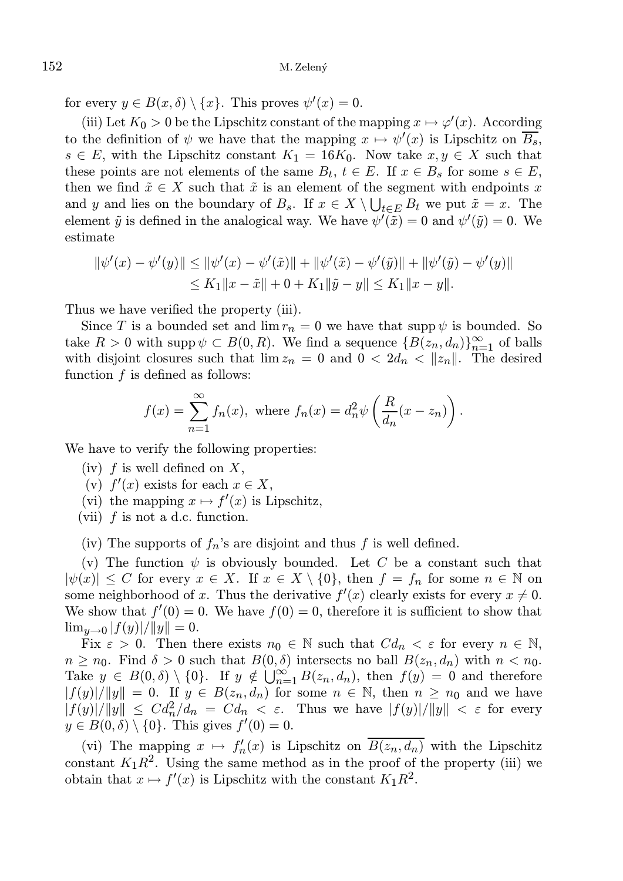for every  $y \in B(x, \delta) \setminus \{x\}$ . This proves  $\psi'(x) = 0$ .

(iii) Let  $K_0 > 0$  be the Lipschitz constant of the mapping  $x \mapsto \varphi'(x)$ . According to the definition of  $\psi$  we have that the mapping  $x \mapsto \psi'(x)$  is Lipschitz on  $\overline{B_s}$ ,  $s \in E$ , with the Lipschitz constant  $K_1 = 16K_0$ . Now take  $x, y \in X$  such that these points are not elements of the same  $B_t$ ,  $t \in E$ . If  $x \in B_s$  for some  $s \in E$ , then we find  $\tilde{x} \in X$  such that  $\tilde{x}$  is an element of the segment with endpoints x and y and lies on the boundary of  $B_s$ . If  $x \in X \setminus \bigcup_{t \in E} B_t$  we put  $\tilde{x} = x$ . The element  $\tilde{y}$  is defined in the analogical way. We have  $\psi'(\tilde{x}) = 0$  and  $\psi'(\tilde{y}) = 0$ . We estimate

$$
\begin{aligned} \|\psi'(x) - \psi'(y)\| &\leq \|\psi'(x) - \psi'(\tilde{x})\| + \|\psi'(\tilde{x}) - \psi'(\tilde{y})\| + \|\psi'(\tilde{y}) - \psi'(y)\| \\ &\leq K_1 \|x - \tilde{x}\| + 0 + K_1 \|\tilde{y} - y\| \leq K_1 \|x - y\|. \end{aligned}
$$

Thus we have verified the property (iii).

Since T is a bounded set and  $\lim r_n = 0$  we have that supp  $\psi$  is bounded. So take  $R > 0$  with supp  $\psi \subset B(0, R)$ . We find a sequence  $\{B(z_n, d_n)\}_{n=1}^{\infty}$  of balls with disjoint closures such that  $\lim z_n = 0$  and  $0 < 2d_n < ||z_n||$ . The desired function  $f$  is defined as follows:

$$
f(x) = \sum_{n=1}^{\infty} f_n(x), \text{ where } f_n(x) = d_n^2 \psi \left( \frac{R}{d_n} (x - z_n) \right).
$$

We have to verify the following properties:

- (iv)  $f$  is well defined on  $X$ ,
- (v)  $f'(x)$  exists for each  $x \in X$ ,
- (vi) the mapping  $x \mapsto f'(x)$  is Lipschitz,
- (vii)  $f$  is not a d.c. function.

(iv) The supports of  $f_n$ 's are disjoint and thus f is well defined.

(v) The function  $\psi$  is obviously bounded. Let C be a constant such that  $|\psi(x)| \leq C$  for every  $x \in X$ . If  $x \in X \setminus \{0\}$ , then  $f = f_n$  for some  $n \in \mathbb{N}$  on some neighborhood of x. Thus the derivative  $f'(x)$  clearly exists for every  $x \neq 0$ . We show that  $f'(0) = 0$ . We have  $f(0) = 0$ , therefore it is sufficient to show that  $\lim_{y\to 0} |f(y)|/||y|| = 0.$ 

Fix  $\varepsilon > 0$ . Then there exists  $n_0 \in \mathbb{N}$  such that  $Cd_n < \varepsilon$  for every  $n \in \mathbb{N}$ ,  $n \geq n_0$ . Find  $\delta > 0$  such that  $B(0, \delta)$  intersects no ball  $B(z_n, d_n)$  with  $n < n_0$ . Take  $y \in B(0, \delta) \setminus \{0\}$ . If  $y \notin \bigcup_{n=1}^{\infty} B(z_n, d_n)$ , then  $f(y) = 0$  and therefore  $|f(y)|/||y|| = 0$ . If  $y \in B(z_n, d_n)$  for some  $n \in \mathbb{N}$ , then  $n \geq n_0$  and we have  $|f(y)|/||y|| \leq C d_n^2/d_n = C d_n < \varepsilon$ . Thus we have  $|f(y)|/||y|| < \varepsilon$  for every  $y \in B(0, \delta) \setminus \{0\}$ . This gives  $f'(0) = 0$ .

(vi) The mapping  $x \mapsto f'_n(x)$  is Lipschitz on  $\overline{B(z_n, d_n)}$  with the Lipschitz constant  $K_1R^2$ . Using the same method as in the proof of the property (iii) we obtain that  $x \mapsto f'(x)$  is Lipschitz with the constant  $K_1 R^2$ .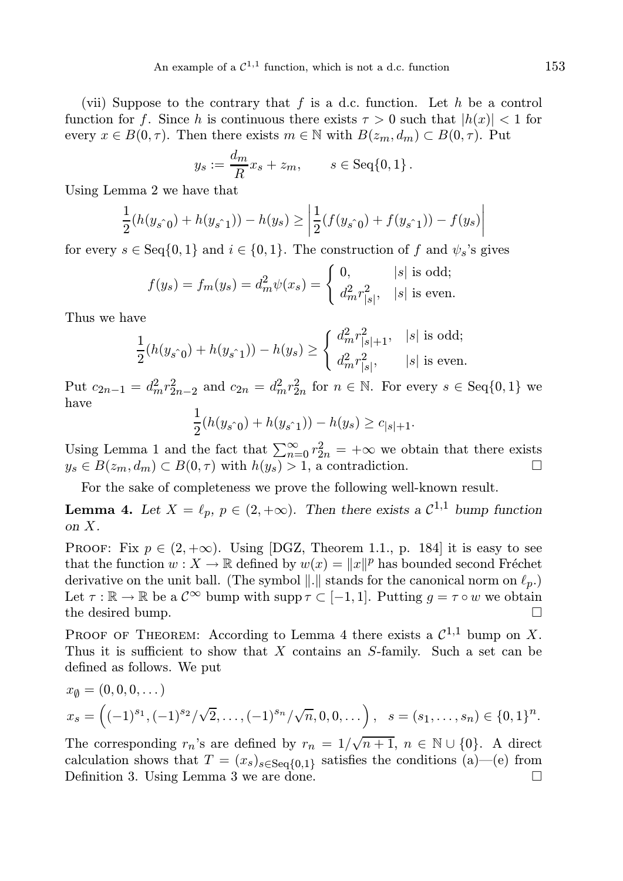(vii) Suppose to the contrary that f is a d.c. function. Let h be a control function for f. Since h is continuous there exists  $\tau > 0$  such that  $|h(x)| < 1$  for every  $x \in B(0, \tau)$ . Then there exists  $m \in \mathbb{N}$  with  $B(z_m, d_m) \subset B(0, \tau)$ . Put

$$
y_s := \frac{d_m}{R} x_s + z_m, \qquad s \in \text{Seq}\{0, 1\}.
$$

Using Lemma 2 we have that

$$
\frac{1}{2}(h(y_{s\hat{0}}) + h(y_{s\hat{1}})) - h(y_s) \ge \left| \frac{1}{2}(f(y_{s\hat{0}}) + f(y_{s\hat{1}})) - f(y_s) \right|
$$

for every  $s \in \text{Seq}\{0,1\}$  and  $i \in \{0,1\}$ . The construction of f and  $\psi_s$ 's gives

$$
f(y_s) = f_m(y_s) = d_m^2 \psi(x_s) = \begin{cases} 0, & |s| \text{ is odd;} \\ d_m^2 r_{|s|}^2, & |s| \text{ is even.} \end{cases}
$$

Thus we have

$$
\frac{1}{2}(h(y_{s \uparrow 0}) + h(y_{s \uparrow 1})) - h(y_s) \ge \begin{cases} d_m^2 r_{|s|+1}^2, & |s| \text{ is odd}; \\ d_m^2 r_{|s|}^2, & |s| \text{ is even}. \end{cases}
$$

Put  $c_{2n-1} = d_m^2 r_{2n-2}^2$  and  $c_{2n} = d_m^2 r_{2n}^2$  for  $n \in \mathbb{N}$ . For every  $s \in \text{Seq}\{0,1\}$  we have 1

$$
\frac{1}{2}(h(y_{s\hat{0}}) + h(y_{s\hat{1}})) - h(y_s) \ge c_{|s|+1}.
$$

Using Lemma 1 and the fact that  $\sum_{n=0}^{\infty} r_{2n}^2 = +\infty$  we obtain that there exists  $y_s \in B(z_m, d_m) \subset B(0, \tau)$  with  $h(y_s) > 1$ , a contradiction.

For the sake of completeness we prove the following well-known result.

**Lemma 4.** Let  $X = \ell_p$ ,  $p \in (2, +\infty)$ . Then there exists a  $\mathcal{C}^{1,1}$  bump function on X.

PROOF: Fix  $p \in (2, +\infty)$ . Using [DGZ, Theorem 1.1., p. 184] it is easy to see that the function  $w: X \to \mathbb{R}$  defined by  $w(x) = ||x||^p$  has bounded second Fréchet derivative on the unit ball. (The symbol  $\|.\|$  stands for the canonical norm on  $\ell_p$ .) Let  $\tau : \mathbb{R} \to \mathbb{R}$  be a  $\mathcal{C}^{\infty}$  bump with supp  $\tau \subset [-1, 1]$ . Putting  $g = \tau \circ w$  we obtain the desired bump. the desired bump.

PROOF OF THEOREM: According to Lemma 4 there exists a  $\mathcal{C}^{1,1}$  bump on X. Thus it is sufficient to show that  $X$  contains an  $S$ -family. Such a set can be defined as follows. We put

$$
x_{\emptyset} = (0, 0, 0, \dots)
$$
  
\n
$$
x_s = \left( (-1)^{s_1}, (-1)^{s_2}/\sqrt{2}, \dots, (-1)^{s_n}/\sqrt{n}, 0, 0, \dots \right), \quad s = (s_1, \dots, s_n) \in \{0, 1\}^n.
$$

The corresponding  $r_n$ 's are defined by  $r_n = 1/\sqrt{n+1}$ ,  $n \in \mathbb{N} \cup \{0\}$ . A direct calculation shows that  $T = (x_s)_{s \in \text{Seq}\{0,1\}}$  satisfies the conditions (a)—(e) from Definition 3. Using Lemma 3 we are done.